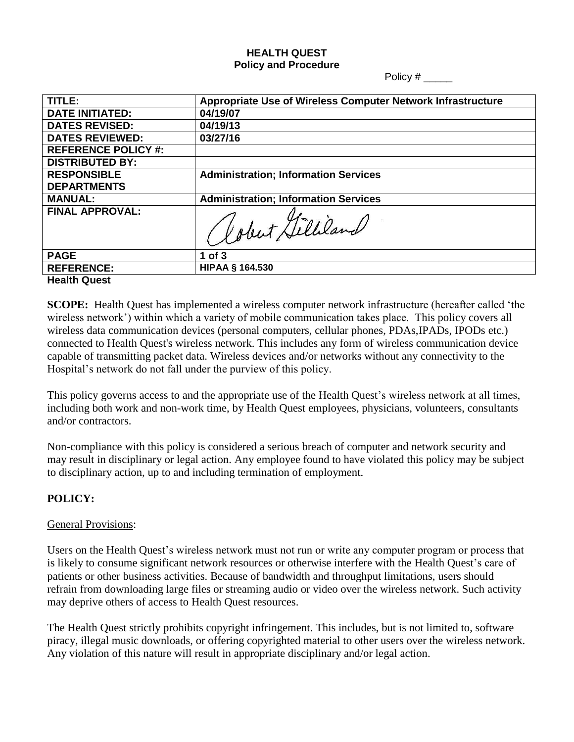#### **HEALTH QUEST Policy and Procedure**

Policy # \_\_\_\_\_

| TITLE:                     | Appropriate Use of Wireless Computer Network Infrastructure |
|----------------------------|-------------------------------------------------------------|
| <b>DATE INITIATED:</b>     | 04/19/07                                                    |
| <b>DATES REVISED:</b>      | 04/19/13                                                    |
| <b>DATES REVIEWED:</b>     | 03/27/16                                                    |
| <b>REFERENCE POLICY #:</b> |                                                             |
| <b>DISTRIBUTED BY:</b>     |                                                             |
| <b>RESPONSIBLE</b>         | <b>Administration; Information Services</b>                 |
| <b>DEPARTMENTS</b>         |                                                             |
| <b>MANUAL:</b>             | <b>Administration; Information Services</b>                 |
| <b>FINAL APPROVAL:</b>     | Gobert Gilliland                                            |
| <b>PAGE</b>                | $1$ of $3$                                                  |
| <b>REFERENCE:</b>          | <b>HIPAA § 164.530</b>                                      |
| <b>Health Quest</b>        |                                                             |

**SCOPE:** Health Quest has implemented a wireless computer network infrastructure (hereafter called "the wireless network') within which a variety of mobile communication takes place. This policy covers all wireless data communication devices (personal computers, cellular phones, PDAs,IPADs, IPODs etc.) connected to Health Quest's wireless network. This includes any form of wireless communication device capable of transmitting packet data. Wireless devices and/or networks without any connectivity to the Hospital"s network do not fall under the purview of this policy.

This policy governs access to and the appropriate use of the Health Quest's wireless network at all times, including both work and non-work time, by Health Quest employees, physicians, volunteers, consultants and/or contractors.

Non-compliance with this policy is considered a serious breach of computer and network security and may result in disciplinary or legal action. Any employee found to have violated this policy may be subject to disciplinary action, up to and including termination of employment.

# **POLICY:**

# General Provisions:

Users on the Health Quest's wireless network must not run or write any computer program or process that is likely to consume significant network resources or otherwise interfere with the Health Quest"s care of patients or other business activities. Because of bandwidth and throughput limitations, users should refrain from downloading large files or streaming audio or video over the wireless network. Such activity may deprive others of access to Health Quest resources.

The Health Quest strictly prohibits copyright infringement. This includes, but is not limited to, software piracy, illegal music downloads, or offering copyrighted material to other users over the wireless network. Any violation of this nature will result in appropriate disciplinary and/or legal action.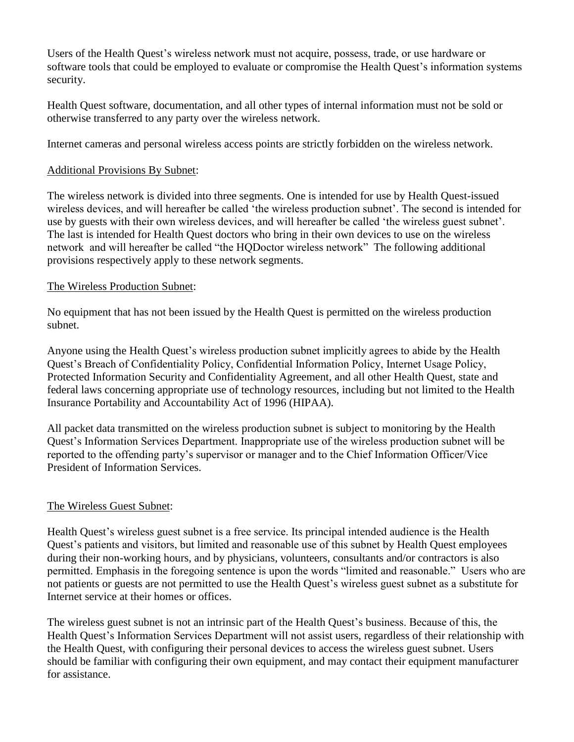Users of the Health Quest"s wireless network must not acquire, possess, trade, or use hardware or software tools that could be employed to evaluate or compromise the Health Quest's information systems security.

Health Quest software, documentation, and all other types of internal information must not be sold or otherwise transferred to any party over the wireless network.

Internet cameras and personal wireless access points are strictly forbidden on the wireless network.

## Additional Provisions By Subnet:

The wireless network is divided into three segments. One is intended for use by Health Quest-issued wireless devices, and will hereafter be called 'the wireless production subnet'. The second is intended for use by guests with their own wireless devices, and will hereafter be called "the wireless guest subnet". The last is intended for Health Quest doctors who bring in their own devices to use on the wireless network and will hereafter be called "the HQDoctor wireless network" The following additional provisions respectively apply to these network segments.

## The Wireless Production Subnet:

No equipment that has not been issued by the Health Quest is permitted on the wireless production subnet.

Anyone using the Health Quest"s wireless production subnet implicitly agrees to abide by the Health Quest"s Breach of Confidentiality Policy, Confidential Information Policy, Internet Usage Policy, Protected Information Security and Confidentiality Agreement, and all other Health Quest, state and federal laws concerning appropriate use of technology resources, including but not limited to the Health Insurance Portability and Accountability Act of 1996 (HIPAA).

All packet data transmitted on the wireless production subnet is subject to monitoring by the Health Quest"s Information Services Department. Inappropriate use of the wireless production subnet will be reported to the offending party"s supervisor or manager and to the Chief Information Officer/Vice President of Information Services.

# The Wireless Guest Subnet:

Health Quest"s wireless guest subnet is a free service. Its principal intended audience is the Health Quest"s patients and visitors, but limited and reasonable use of this subnet by Health Quest employees during their non-working hours, and by physicians, volunteers, consultants and/or contractors is also permitted. Emphasis in the foregoing sentence is upon the words "limited and reasonable." Users who are not patients or guests are not permitted to use the Health Quest"s wireless guest subnet as a substitute for Internet service at their homes or offices.

The wireless guest subnet is not an intrinsic part of the Health Quest"s business. Because of this, the Health Quest"s Information Services Department will not assist users, regardless of their relationship with the Health Quest, with configuring their personal devices to access the wireless guest subnet. Users should be familiar with configuring their own equipment, and may contact their equipment manufacturer for assistance.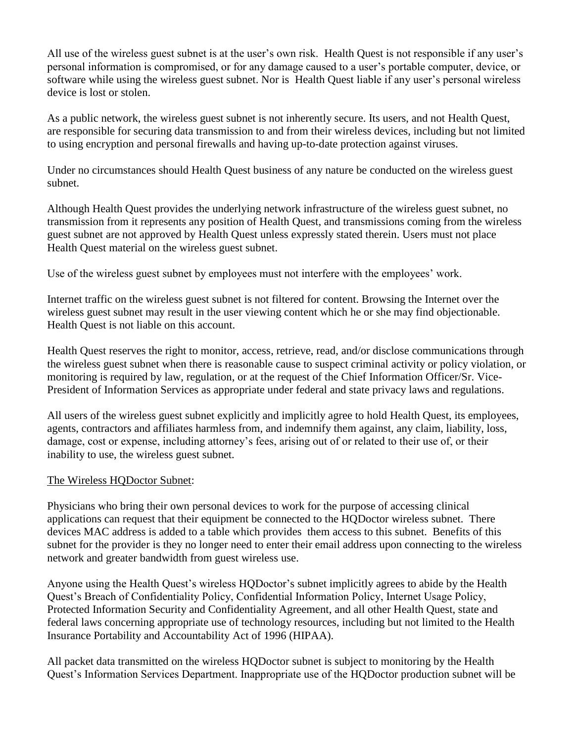All use of the wireless guest subnet is at the user's own risk. Health Quest is not responsible if any user's personal information is compromised, or for any damage caused to a user"s portable computer, device, or software while using the wireless guest subnet. Nor is Health Quest liable if any user"s personal wireless device is lost or stolen.

As a public network, the wireless guest subnet is not inherently secure. Its users, and not Health Quest, are responsible for securing data transmission to and from their wireless devices, including but not limited to using encryption and personal firewalls and having up-to-date protection against viruses.

Under no circumstances should Health Quest business of any nature be conducted on the wireless guest subnet.

Although Health Quest provides the underlying network infrastructure of the wireless guest subnet, no transmission from it represents any position of Health Quest, and transmissions coming from the wireless guest subnet are not approved by Health Quest unless expressly stated therein. Users must not place Health Quest material on the wireless guest subnet.

Use of the wireless guest subnet by employees must not interfere with the employees' work.

Internet traffic on the wireless guest subnet is not filtered for content. Browsing the Internet over the wireless guest subnet may result in the user viewing content which he or she may find objectionable. Health Quest is not liable on this account.

Health Quest reserves the right to monitor, access, retrieve, read, and/or disclose communications through the wireless guest subnet when there is reasonable cause to suspect criminal activity or policy violation, or monitoring is required by law, regulation, or at the request of the Chief Information Officer/Sr. Vice-President of Information Services as appropriate under federal and state privacy laws and regulations.

All users of the wireless guest subnet explicitly and implicitly agree to hold Health Quest, its employees, agents, contractors and affiliates harmless from, and indemnify them against, any claim, liability, loss, damage, cost or expense, including attorney"s fees, arising out of or related to their use of, or their inability to use, the wireless guest subnet.

#### The Wireless HQDoctor Subnet:

Physicians who bring their own personal devices to work for the purpose of accessing clinical applications can request that their equipment be connected to the HQDoctor wireless subnet. There devices MAC address is added to a table which provides them access to this subnet. Benefits of this subnet for the provider is they no longer need to enter their email address upon connecting to the wireless network and greater bandwidth from guest wireless use.

Anyone using the Health Quest's wireless HQDoctor's subnet implicitly agrees to abide by the Health Quest"s Breach of Confidentiality Policy, Confidential Information Policy, Internet Usage Policy, Protected Information Security and Confidentiality Agreement, and all other Health Quest, state and federal laws concerning appropriate use of technology resources, including but not limited to the Health Insurance Portability and Accountability Act of 1996 (HIPAA).

All packet data transmitted on the wireless HQDoctor subnet is subject to monitoring by the Health Quest"s Information Services Department. Inappropriate use of the HQDoctor production subnet will be